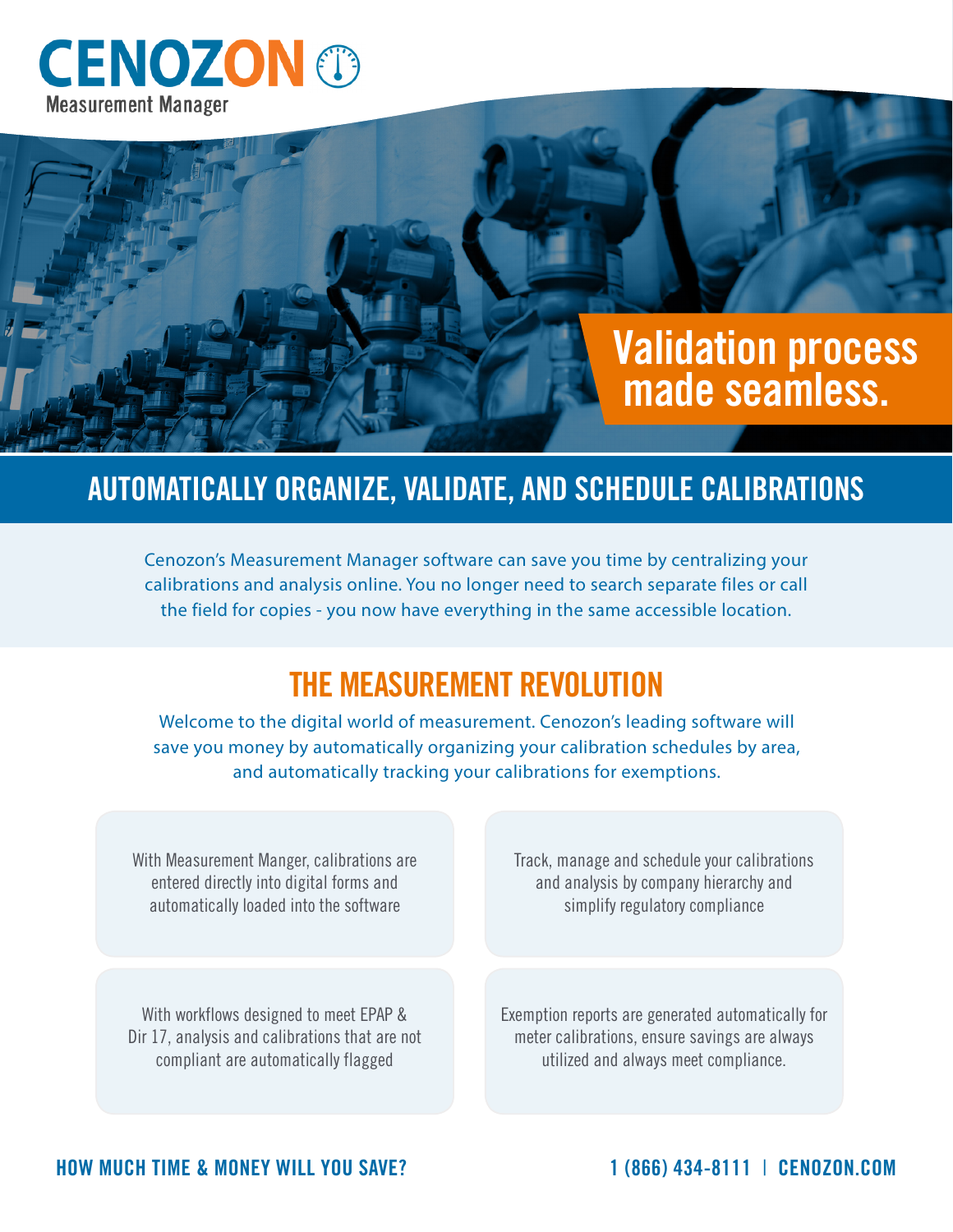## **CENOZON ® Measurement Manager**

# **Validation process made seamless.**

### **AUTOMATICALLY ORGANIZE, VALIDATE, AND SCHEDULE CALIBRATIONS**

Cenozon's Measurement Manager software can save you time by centralizing your calibrations and analysis online. You no longer need to search separate files or call the field for copies - you now have everything in the same accessible location.

### **THE MEASUREMENT REVOLUTION**

Welcome to the digital world of measurement. Cenozon's leading software will save you money by automatically organizing your calibration schedules by area, and automatically tracking your calibrations for exemptions.

With Measurement Manger, calibrations are entered directly into digital forms and automatically loaded into the software

With workflows designed to meet EPAP & Dir 17, analysis and calibrations that are not compliant are automatically flagged

Track, manage and schedule your calibrations and analysis by company hierarchy and simplify regulatory compliance

Exemption reports are generated automatically for meter calibrations, ensure savings are always utilized and always meet compliance.

#### **HOW MUCH TIME & MONEY WILL YOU SAVE? 1 (866) 434-8111** | **CENOZON.COM**